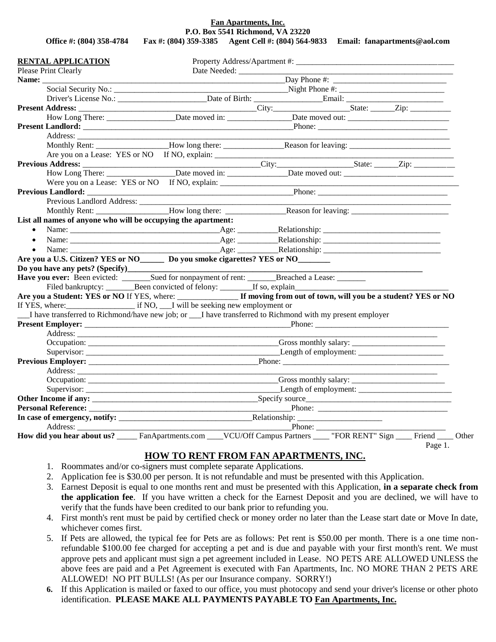**Fan Apartments, Inc. P.O. Box 5541 Richmond, VA 23220**

**Office #: (804) 358-4784 Fax #: (804) 359-3385 Agent Cell #: (804) 564-9833 Email: fanapartments@aol.com**

| <b>RENTAL APPLICATION</b>                                                                               |                                |                                                                                                                          |                                                                            |
|---------------------------------------------------------------------------------------------------------|--------------------------------|--------------------------------------------------------------------------------------------------------------------------|----------------------------------------------------------------------------|
| Please Print Clearly                                                                                    | Date Needed: _________________ |                                                                                                                          |                                                                            |
| Name:                                                                                                   |                                |                                                                                                                          |                                                                            |
|                                                                                                         |                                |                                                                                                                          |                                                                            |
|                                                                                                         |                                |                                                                                                                          |                                                                            |
|                                                                                                         |                                |                                                                                                                          |                                                                            |
|                                                                                                         |                                | How Long There: _________________Date moved in: _________________Date moved out: _____________________________           |                                                                            |
|                                                                                                         |                                |                                                                                                                          |                                                                            |
|                                                                                                         |                                |                                                                                                                          |                                                                            |
|                                                                                                         |                                |                                                                                                                          |                                                                            |
|                                                                                                         |                                |                                                                                                                          |                                                                            |
|                                                                                                         |                                |                                                                                                                          |                                                                            |
|                                                                                                         |                                |                                                                                                                          |                                                                            |
|                                                                                                         |                                |                                                                                                                          |                                                                            |
|                                                                                                         |                                |                                                                                                                          |                                                                            |
|                                                                                                         |                                |                                                                                                                          |                                                                            |
|                                                                                                         |                                |                                                                                                                          |                                                                            |
| List all names of anyone who will be occupying the apartment:                                           |                                |                                                                                                                          |                                                                            |
| $\bullet$                                                                                               |                                |                                                                                                                          |                                                                            |
| $\bullet$                                                                                               |                                |                                                                                                                          |                                                                            |
| Name:<br>$\bullet$                                                                                      |                                |                                                                                                                          |                                                                            |
| Are you a U.S. Citizen? YES or NO_________ Do you smoke cigarettes? YES or NO_________                  |                                |                                                                                                                          |                                                                            |
|                                                                                                         |                                |                                                                                                                          |                                                                            |
|                                                                                                         |                                |                                                                                                                          |                                                                            |
|                                                                                                         |                                | Filed bankruptcy: _________Been convicted of felony: __________If so, explain______________________                      |                                                                            |
|                                                                                                         |                                | Are you a Student: YES or NO If YES, where: _______________ If moving from out of town, will you be a student? YES or NO |                                                                            |
|                                                                                                         |                                |                                                                                                                          |                                                                            |
|                                                                                                         |                                |                                                                                                                          |                                                                            |
| I have transferred to Richmond/have new job; or I have transferred to Richmond with my present employer |                                |                                                                                                                          |                                                                            |
|                                                                                                         |                                |                                                                                                                          |                                                                            |
|                                                                                                         |                                |                                                                                                                          | the control of the control of the control of the control of the control of |
|                                                                                                         |                                |                                                                                                                          |                                                                            |
|                                                                                                         |                                |                                                                                                                          |                                                                            |
|                                                                                                         |                                |                                                                                                                          |                                                                            |
|                                                                                                         |                                |                                                                                                                          |                                                                            |
|                                                                                                         |                                |                                                                                                                          |                                                                            |
|                                                                                                         |                                |                                                                                                                          |                                                                            |
|                                                                                                         |                                |                                                                                                                          |                                                                            |
|                                                                                                         |                                |                                                                                                                          |                                                                            |
|                                                                                                         |                                | $\blacksquare$ Phone: $\blacksquare$                                                                                     |                                                                            |

## **HOW TO RENT FROM FAN APARTMENTS, INC.**

- 1. Roommates and/or co-signers must complete separate Applications.
- 2. Application fee is \$30.00 per person. It is not refundable and must be presented with this Application.
- 3. Earnest Deposit is equal to one months rent and must be presented with this Application, **in a separate check from the application fee**. If you have written a check for the Earnest Deposit and you are declined, we will have to verify that the funds have been credited to our bank prior to refunding you.
- 4. First month's rent must be paid by certified check or money order no later than the Lease start date or Move In date, whichever comes first.
- 5. If Pets are allowed, the typical fee for Pets are as follows: Pet rent is \$50.00 per month. There is a one time nonrefundable \$100.00 fee charged for accepting a pet and is due and payable with your first month's rent. We must approve pets and applicant must sign a pet agreement included in Lease. NO PETS ARE ALLOWED UNLESS the above fees are paid and a Pet Agreement is executed with Fan Apartments, Inc. NO MORE THAN 2 PETS ARE ALLOWED! NO PIT BULLS! (As per our Insurance company. SORRY!)
- **6.** If this Application is mailed or faxed to our office, you must photocopy and send your driver's license or other photo identification. **PLEASE MAKE ALL PAYMENTS PAYABLE TO Fan Apartments, Inc.**